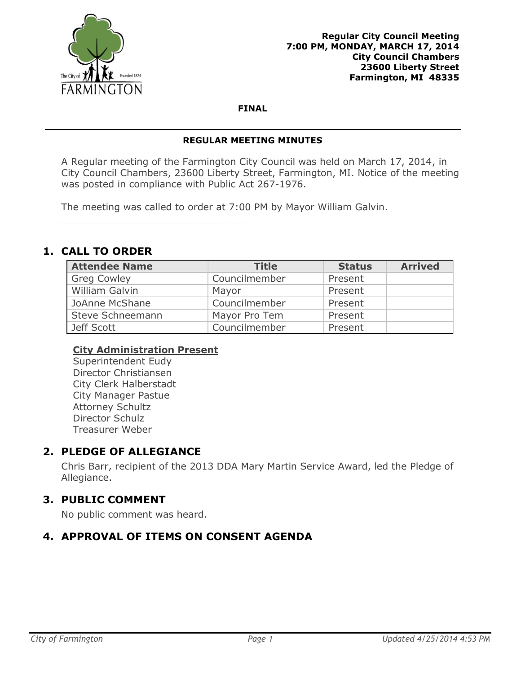

**FINAL**

#### **REGULAR MEETING MINUTES**

A Regular meeting of the Farmington City Council was held on March 17, 2014, in City Council Chambers, 23600 Liberty Street, Farmington, MI. Notice of the meeting was posted in compliance with Public Act 267-1976.

The meeting was called to order at 7:00 PM by Mayor William Galvin.

# **1. CALL TO ORDER**

| <b>Attendee Name</b> | <b>Title</b>  | <b>Status</b> | <b>Arrived</b> |
|----------------------|---------------|---------------|----------------|
| <b>Greg Cowley</b>   | Councilmember | Present       |                |
| William Galvin       | Mayor         | Present       |                |
| JoAnne McShane       | Councilmember | Present       |                |
| Steve Schneemann     | Mayor Pro Tem | Present       |                |
| Jeff Scott           | Councilmember | Present       |                |

### **City Administration Present**

Superintendent Eudy Director Christiansen City Clerk Halberstadt City Manager Pastue Attorney Schultz Director Schulz Treasurer Weber

## **2. PLEDGE OF ALLEGIANCE**

Chris Barr, recipient of the 2013 DDA Mary Martin Service Award, led the Pledge of Allegiance.

## **3. PUBLIC COMMENT**

No public comment was heard.

## **4. APPROVAL OF ITEMS ON CONSENT AGENDA**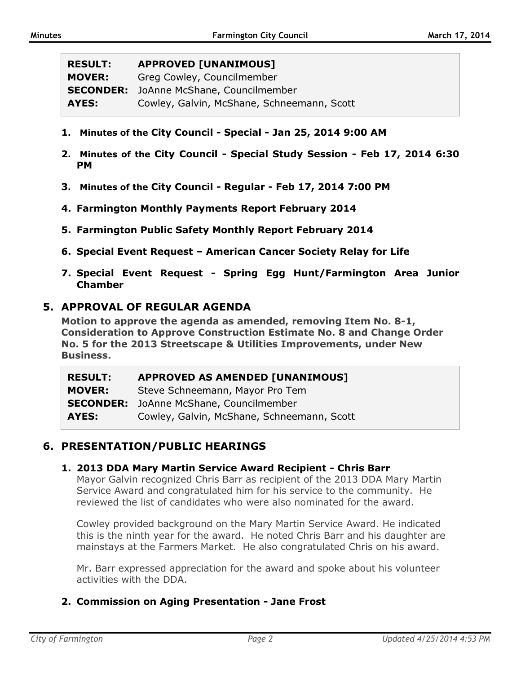| <b>RESULT:</b>   | <b>APPROVED [UNANIMOUS]</b>                |
|------------------|--------------------------------------------|
| <b>MOVER:</b>    | Greg Cowley, Councilmember                 |
| <b>SECONDER:</b> | JoAnne McShane, Councilmember              |
| AYES:            | Cowley, Galvin, McShane, Schneemann, Scott |

- **1. Minutes of the City Council - Special - Jan 25, 2014 9:00 AM**
- **2. Minutes of the City Council - Special Study Session - Feb 17, 2014 6:30 PM**
- **3. Minutes of the City Council - Regular - Feb 17, 2014 7:00 PM**
- **4. Farmington Monthly Payments Report February 2014**
- **5. Farmington Public Safety Monthly Report February 2014**
- **6. Special Event Request – American Cancer Society Relay for Life**
- **7. Special Event Request - Spring Egg Hunt/Farmington Area Junior Chamber**

#### **5. APPROVAL OF REGULAR AGENDA**

**Motion to approve the agenda as amended, removing Item No. 8-1, Consideration to Approve Construction Estimate No. 8 and Change Order No. 5 for the 2013 Streetscape & Utilities Improvements, under New Business.**

| <b>RESULT:</b> | APPROVED AS AMENDED [UNANIMOUS]                |
|----------------|------------------------------------------------|
| <b>MOVER:</b>  | Steve Schneemann, Mayor Pro Tem                |
|                | <b>SECONDER:</b> JoAnne McShane, Councilmember |
| AYES:          | Cowley, Galvin, McShane, Schneemann, Scott     |

### **6. PRESENTATION/PUBLIC HEARINGS**

#### **1. 2013 DDA Mary Martin Service Award Recipient - Chris Barr**

Mayor Galvin recognized Chris Barr as recipient of the 2013 DDA Mary Martin Service Award and congratulated him for his service to the community. He reviewed the list of candidates who were also nominated for the award.

Cowley provided background on the Mary Martin Service Award. He indicated this is the ninth year for the award. He noted Chris Barr and his daughter are mainstays at the Farmers Market. He also congratulated Chris on his award.

Mr. Barr expressed appreciation for the award and spoke about his volunteer activities with the DDA.

### **2. Commission on Aging Presentation - Jane Frost**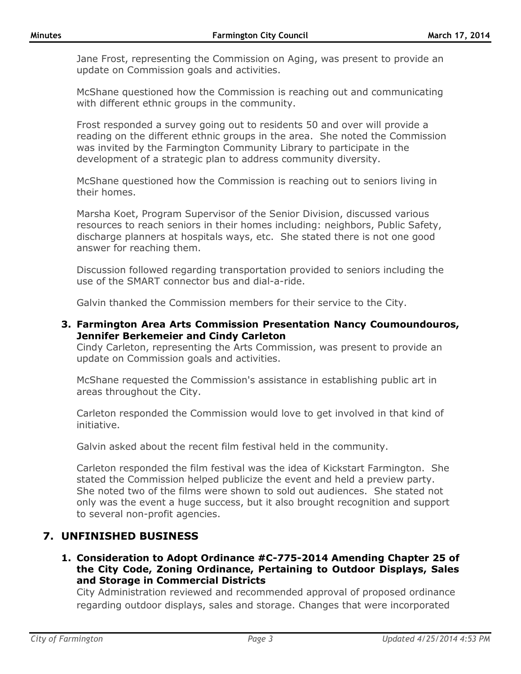Jane Frost, representing the Commission on Aging, was present to provide an update on Commission goals and activities.

McShane questioned how the Commission is reaching out and communicating with different ethnic groups in the community.

Frost responded a survey going out to residents 50 and over will provide a reading on the different ethnic groups in the area. She noted the Commission was invited by the Farmington Community Library to participate in the development of a strategic plan to address community diversity.

McShane questioned how the Commission is reaching out to seniors living in their homes.

Marsha Koet, Program Supervisor of the Senior Division, discussed various resources to reach seniors in their homes including: neighbors, Public Safety, discharge planners at hospitals ways, etc. She stated there is not one good answer for reaching them.

Discussion followed regarding transportation provided to seniors including the use of the SMART connector bus and dial-a-ride.

Galvin thanked the Commission members for their service to the City.

**3. Farmington Area Arts Commission Presentation Nancy Coumoundouros, Jennifer Berkemeier and Cindy Carleton**

Cindy Carleton, representing the Arts Commission, was present to provide an update on Commission goals and activities.

McShane requested the Commission's assistance in establishing public art in areas throughout the City.

Carleton responded the Commission would love to get involved in that kind of initiative.

Galvin asked about the recent film festival held in the community.

Carleton responded the film festival was the idea of Kickstart Farmington. She stated the Commission helped publicize the event and held a preview party. She noted two of the films were shown to sold out audiences. She stated not only was the event a huge success, but it also brought recognition and support to several non-profit agencies.

## **7. UNFINISHED BUSINESS**

**1. Consideration to Adopt Ordinance #C-775-2014 Amending Chapter 25 of the City Code, Zoning Ordinance, Pertaining to Outdoor Displays, Sales and Storage in Commercial Districts**

City Administration reviewed and recommended approval of proposed ordinance regarding outdoor displays, sales and storage. Changes that were incorporated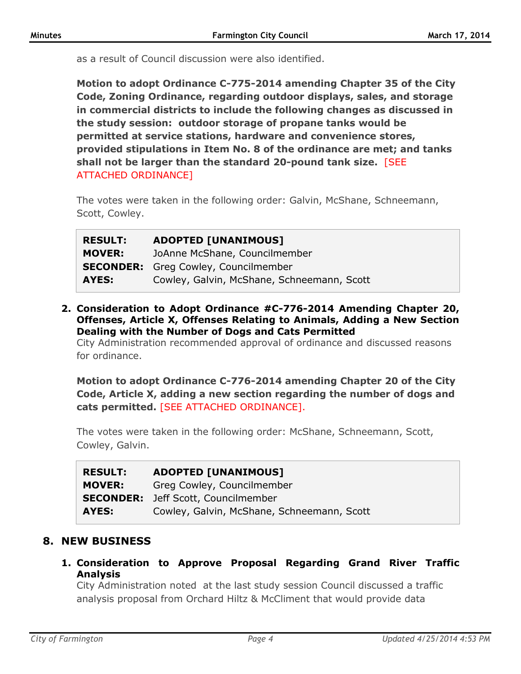as a result of Council discussion were also identified.

**Motion to adopt Ordinance C-775-2014 amending Chapter 35 of the City Code, Zoning Ordinance, regarding outdoor displays, sales, and storage in commercial districts to include the following changes as discussed in the study session: outdoor storage of propane tanks would be permitted at service stations, hardware and convenience stores, provided stipulations in Item No. 8 of the ordinance are met; and tanks shall not be larger than the standard 20-pound tank size.** [SEE ATTACHED ORDINANCE]

The votes were taken in the following order: Galvin, McShane, Schneemann, Scott, Cowley.

| <b>RESULT:</b> | <b>ADOPTED [UNANIMOUS]</b>                  |
|----------------|---------------------------------------------|
| <b>MOVER:</b>  | JoAnne McShane, Councilmember               |
|                | <b>SECONDER:</b> Greg Cowley, Councilmember |
| AYES:          | Cowley, Galvin, McShane, Schneemann, Scott  |

**2. Consideration to Adopt Ordinance #C-776-2014 Amending Chapter 20, Offenses, Article X, Offenses Relating to Animals, Adding a New Section Dealing with the Number of Dogs and Cats Permitted**

City Administration recommended approval of ordinance and discussed reasons for ordinance.

**Motion to adopt Ordinance C-776-2014 amending Chapter 20 of the City Code, Article X, adding a new section regarding the number of dogs and cats permitted.** [SEE ATTACHED ORDINANCE].

The votes were taken in the following order: McShane, Schneemann, Scott, Cowley, Galvin.

| <b>RESULT:</b> | <b>ADOPTED [UNANIMOUS]</b>                 |
|----------------|--------------------------------------------|
| <b>MOVER:</b>  | Greg Cowley, Councilmember                 |
|                | <b>SECONDER:</b> Jeff Scott, Councilmember |
| AYES:          | Cowley, Galvin, McShane, Schneemann, Scott |

## **8. NEW BUSINESS**

**1. Consideration to Approve Proposal Regarding Grand River Traffic Analysis**

City Administration noted at the last study session Council discussed a traffic analysis proposal from Orchard Hiltz & McCliment that would provide data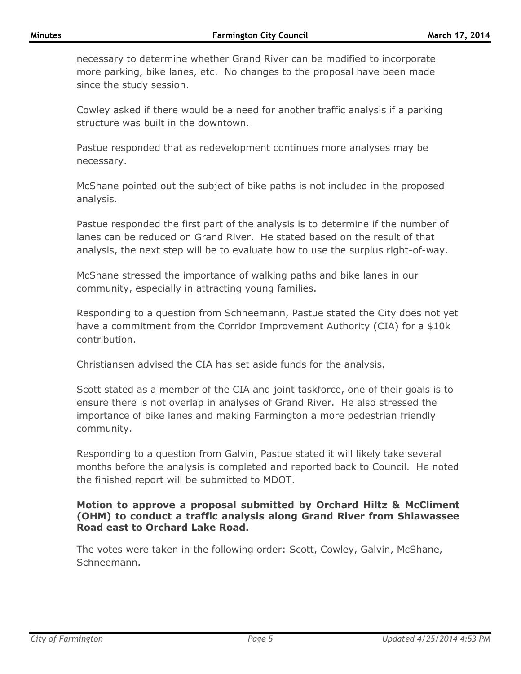necessary to determine whether Grand River can be modified to incorporate more parking, bike lanes, etc. No changes to the proposal have been made since the study session.

Cowley asked if there would be a need for another traffic analysis if a parking structure was built in the downtown.

Pastue responded that as redevelopment continues more analyses may be necessary.

McShane pointed out the subject of bike paths is not included in the proposed analysis.

Pastue responded the first part of the analysis is to determine if the number of lanes can be reduced on Grand River. He stated based on the result of that analysis, the next step will be to evaluate how to use the surplus right-of-way.

McShane stressed the importance of walking paths and bike lanes in our community, especially in attracting young families.

Responding to a question from Schneemann, Pastue stated the City does not yet have a commitment from the Corridor Improvement Authority (CIA) for a \$10k contribution.

Christiansen advised the CIA has set aside funds for the analysis.

Scott stated as a member of the CIA and joint taskforce, one of their goals is to ensure there is not overlap in analyses of Grand River. He also stressed the importance of bike lanes and making Farmington a more pedestrian friendly community.

Responding to a question from Galvin, Pastue stated it will likely take several months before the analysis is completed and reported back to Council. He noted the finished report will be submitted to MDOT.

### **Motion to approve a proposal submitted by Orchard Hiltz & McCliment (OHM) to conduct a traffic analysis along Grand River from Shiawassee Road east to Orchard Lake Road.**

The votes were taken in the following order: Scott, Cowley, Galvin, McShane, Schneemann.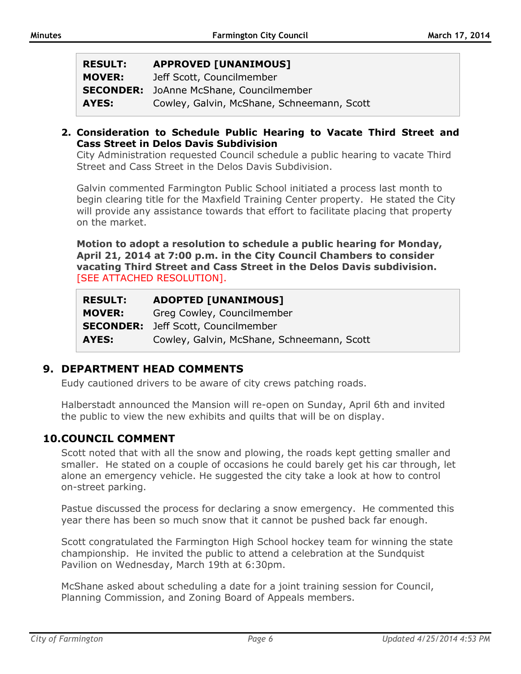| <b>RESULT:</b>   | <b>APPROVED [UNANIMOUS]</b>                |
|------------------|--------------------------------------------|
| <b>MOVER:</b>    | Jeff Scott, Councilmember                  |
| <b>SECONDER:</b> | JoAnne McShane, Councilmember              |
| AYES:            | Cowley, Galvin, McShane, Schneemann, Scott |

**2. Consideration to Schedule Public Hearing to Vacate Third Street and Cass Street in Delos Davis Subdivision**

City Administration requested Council schedule a public hearing to vacate Third Street and Cass Street in the Delos Davis Subdivision.

Galvin commented Farmington Public School initiated a process last month to begin clearing title for the Maxfield Training Center property. He stated the City will provide any assistance towards that effort to facilitate placing that property on the market.

**Motion to adopt a resolution to schedule a public hearing for Monday, April 21, 2014 at 7:00 p.m. in the City Council Chambers to consider vacating Third Street and Cass Street in the Delos Davis subdivision.**  [SEE ATTACHED RESOLUTION].

| <b>RESULT:</b> | <b>ADOPTED [UNANIMOUS]</b>                 |
|----------------|--------------------------------------------|
| <b>MOVER:</b>  | Greg Cowley, Councilmember                 |
|                | <b>SECONDER:</b> Jeff Scott, Councilmember |
| AYES:          | Cowley, Galvin, McShane, Schneemann, Scott |

## **9. DEPARTMENT HEAD COMMENTS**

Eudy cautioned drivers to be aware of city crews patching roads.

Halberstadt announced the Mansion will re-open on Sunday, April 6th and invited the public to view the new exhibits and quilts that will be on display.

## **10.COUNCIL COMMENT**

Scott noted that with all the snow and plowing, the roads kept getting smaller and smaller. He stated on a couple of occasions he could barely get his car through, let alone an emergency vehicle. He suggested the city take a look at how to control on-street parking.

Pastue discussed the process for declaring a snow emergency. He commented this year there has been so much snow that it cannot be pushed back far enough.

Scott congratulated the Farmington High School hockey team for winning the state championship. He invited the public to attend a celebration at the Sundquist Pavilion on Wednesday, March 19th at 6:30pm.

McShane asked about scheduling a date for a joint training session for Council, Planning Commission, and Zoning Board of Appeals members.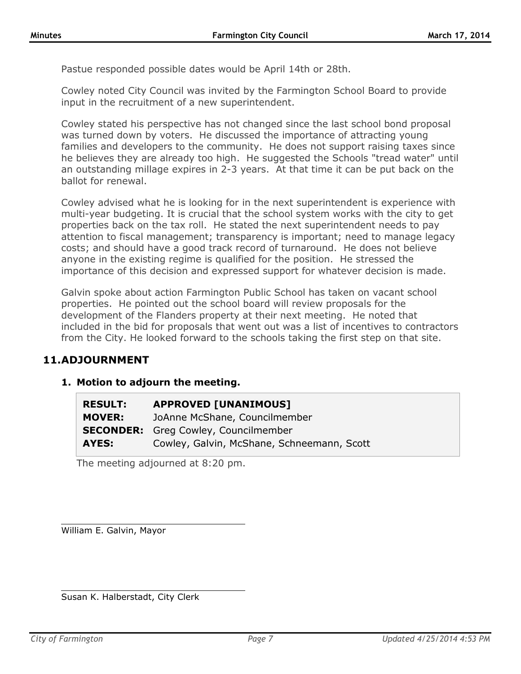Pastue responded possible dates would be April 14th or 28th.

Cowley noted City Council was invited by the Farmington School Board to provide input in the recruitment of a new superintendent.

Cowley stated his perspective has not changed since the last school bond proposal was turned down by voters. He discussed the importance of attracting young families and developers to the community. He does not support raising taxes since he believes they are already too high. He suggested the Schools "tread water" until an outstanding millage expires in 2-3 years. At that time it can be put back on the ballot for renewal.

Cowley advised what he is looking for in the next superintendent is experience with multi-year budgeting. It is crucial that the school system works with the city to get properties back on the tax roll. He stated the next superintendent needs to pay attention to fiscal management; transparency is important; need to manage legacy costs; and should have a good track record of turnaround. He does not believe anyone in the existing regime is qualified for the position. He stressed the importance of this decision and expressed support for whatever decision is made.

Galvin spoke about action Farmington Public School has taken on vacant school properties. He pointed out the school board will review proposals for the development of the Flanders property at their next meeting. He noted that included in the bid for proposals that went out was a list of incentives to contractors from the City. He looked forward to the schools taking the first step on that site.

### **11.ADJOURNMENT**

### **1. Motion to adjourn the meeting.**

| <b>RESULT:</b> | <b>APPROVED [UNANIMOUS]</b>                 |
|----------------|---------------------------------------------|
| <b>MOVER:</b>  | JoAnne McShane, Councilmember               |
|                | <b>SECONDER:</b> Greg Cowley, Councilmember |
| AYES:          | Cowley, Galvin, McShane, Schneemann, Scott  |

The meeting adjourned at 8:20 pm.

William E. Galvin, Mayor

Susan K. Halberstadt, City Clerk